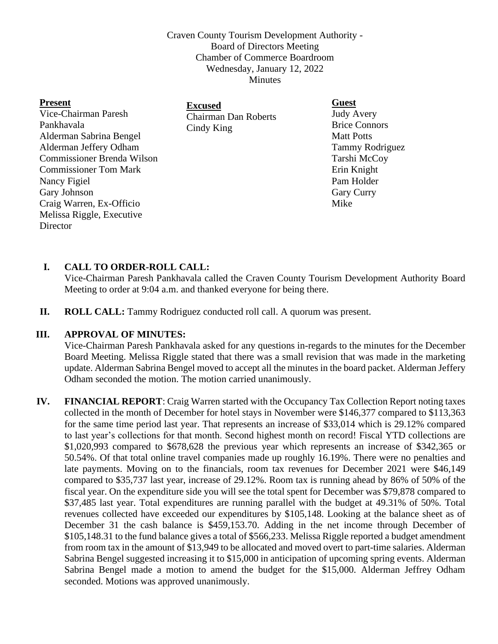Craven County Tourism Development Authority - Board of Directors Meeting Chamber of Commerce Boardroom Wednesday, January 12, 2022 Minutes

| <b>Present</b>                    | <b>Excused</b>                            | <b>Guest</b>         |
|-----------------------------------|-------------------------------------------|----------------------|
| Vice-Chairman Paresh              | <b>Chairman Dan Roberts</b><br>Cindy King | <b>Judy Avery</b>    |
| Pankhavala                        |                                           | <b>Brice Connors</b> |
| Alderman Sabrina Bengel           |                                           | <b>Matt Potts</b>    |
| Alderman Jeffery Odham            |                                           | Tammy Rodriguez      |
| <b>Commissioner Brenda Wilson</b> |                                           | Tarshi McCoy         |
| <b>Commissioner Tom Mark</b>      |                                           | Erin Knight          |
| Nancy Figiel                      |                                           | Pam Holder           |
| Gary Johnson                      |                                           | <b>Gary Curry</b>    |
| Craig Warren, Ex-Officio          |                                           | Mike                 |
| Melissa Riggle, Executive         |                                           |                      |
| Director                          |                                           |                      |

# **I. CALL TO ORDER-ROLL CALL:**

Vice-Chairman Paresh Pankhavala called the Craven County Tourism Development Authority Board Meeting to order at 9:04 a.m. and thanked everyone for being there.

**II. ROLL CALL:** Tammy Rodriguez conducted roll call. A quorum was present.

### **III. APPROVAL OF MINUTES:**

Vice-Chairman Paresh Pankhavala asked for any questions in-regards to the minutes for the December Board Meeting. Melissa Riggle stated that there was a small revision that was made in the marketing update. Alderman Sabrina Bengel moved to accept all the minutes in the board packet. Alderman Jeffery Odham seconded the motion. The motion carried unanimously.

**IV. FINANCIAL REPORT**: Craig Warren started with the Occupancy Tax Collection Report noting taxes collected in the month of December for hotel stays in November were \$146,377 compared to \$113,363 for the same time period last year. That represents an increase of \$33,014 which is 29.12% compared to last year's collections for that month. Second highest month on record! Fiscal YTD collections are \$1,020,993 compared to \$678,628 the previous year which represents an increase of \$342,365 or 50.54%. Of that total online travel companies made up roughly 16.19%. There were no penalties and late payments. Moving on to the financials, room tax revenues for December 2021 were \$46,149 compared to \$35,737 last year, increase of 29.12%. Room tax is running ahead by 86% of 50% of the fiscal year. On the expenditure side you will see the total spent for December was \$79,878 compared to \$37,485 last year. Total expenditures are running parallel with the budget at 49.31% of 50%. Total revenues collected have exceeded our expenditures by \$105,148. Looking at the balance sheet as of December 31 the cash balance is \$459,153.70. Adding in the net income through December of \$105,148.31 to the fund balance gives a total of \$566,233. Melissa Riggle reported a budget amendment from room tax in the amount of \$13,949 to be allocated and moved overt to part-time salaries. Alderman Sabrina Bengel suggested increasing it to \$15,000 in anticipation of upcoming spring events. Alderman Sabrina Bengel made a motion to amend the budget for the \$15,000. Alderman Jeffrey Odham seconded. Motions was approved unanimously.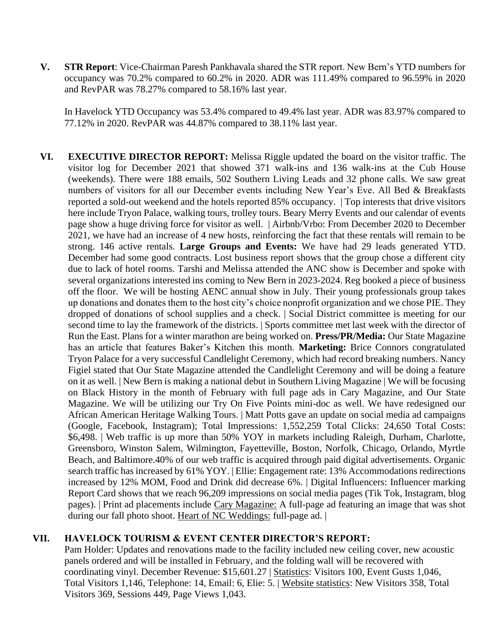**V. STR Report**: Vice-Chairman Paresh Pankhavala shared the STR report. New Bern's YTD numbers for occupancy was 70.2% compared to 60.2% in 2020. ADR was 111.49% compared to 96.59% in 2020 and RevPAR was 78.27% compared to 58.16% last year.

In Havelock YTD Occupancy was 53.4% compared to 49.4% last year. ADR was 83.97% compared to 77.12% in 2020. RevPAR was 44.87% compared to 38.11% last year.

**VI. EXECUTIVE DIRECTOR REPORT:** Melissa Riggle updated the board on the visitor traffic. The visitor log for December 2021 that showed 371 walk-ins and 136 walk-ins at the Cub House (weekends). There were 188 emails, 502 Southern Living Leads and 32 phone calls. We saw great numbers of visitors for all our December events including New Year's Eve. All Bed & Breakfasts reported a sold-out weekend and the hotels reported 85% occupancy. | Top interests that drive visitors here include Tryon Palace, walking tours, trolley tours. Beary Merry Events and our calendar of events page show a huge driving force for visitor as well. | Airbnb/Vrbo: From December 2020 to December 2021, we have had an increase of 4 new hosts, reinforcing the fact that these rentals will remain to be strong. 146 active rentals. **Large Groups and Events:** We have had 29 leads generated YTD. December had some good contracts. Lost business report shows that the group chose a different city due to lack of hotel rooms. Tarshi and Melissa attended the ANC show is December and spoke with several organizations interested ins coming to New Bern in 2023-2024. Reg booked a piece of business off the floor. We will be hosting AENC annual show in July. Their young professionals group takes up donations and donates them to the host city's choice nonprofit organization and we chose PIE. They dropped of donations of school supplies and a check. | Social District committee is meeting for our second time to lay the framework of the districts. | Sports committee met last week with the director of Run the East. Plans for a winter marathon are being worked on. **Press/PR/Media:** Our State Magazine has an article that features Baker's Kitchen this month. **Marketing:** Brice Connors congratulated Tryon Palace for a very successful Candlelight Ceremony, which had record breaking numbers. Nancy Figiel stated that Our State Magazine attended the Candlelight Ceremony and will be doing a feature on it as well. | New Bern is making a national debut in Southern Living Magazine | We will be focusing on Black History in the month of February with full page ads in Cary Magazine, and Our State Magazine. We will be utilizing our Try On Five Points mini-doc as well. We have redesigned our African American Heritage Walking Tours. | Matt Potts gave an update on social media ad campaigns (Google, Facebook, Instagram); Total Impressions: 1,552,259 Total Clicks: 24,650 Total Costs: \$6,498. | Web traffic is up more than 50% YOY in markets including Raleigh, Durham, Charlotte, Greensboro, Winston Salem, Wilmington, Fayetteville, Boston, Norfolk, Chicago, Orlando, Myrtle Beach, and Baltimore.40% of our web traffic is acquired through paid digital advertisements. Organic search traffic has increased by 61% YOY. | Ellie: Engagement rate: 13% Accommodations redirections increased by 12% MOM, Food and Drink did decrease 6%. | Digital Influencers: Influencer marking Report Card shows that we reach 96,209 impressions on social media pages (Tik Tok, Instagram, blog pages). | Print ad placements include Cary Magazine: A full-page ad featuring an image that was shot during our fall photo shoot. Heart of NC Weddings: full-page ad. |

### **VII. HAVELOCK TOURISM & EVENT CENTER DIRECTOR'S REPORT:**

Pam Holder: Updates and renovations made to the facility included new ceiling cover, new acoustic panels ordered and will be installed in February, and the folding wall will be recovered with coordinating vinyl. December Revenue: \$15,601.27 | Statistics: Visitors 100, Event Gusts 1,046, Total Visitors 1,146, Telephone: 14, Email: 6, Elie: 5. | Website statistics: New Visitors 358, Total Visitors 369, Sessions 449, Page Views 1,043.